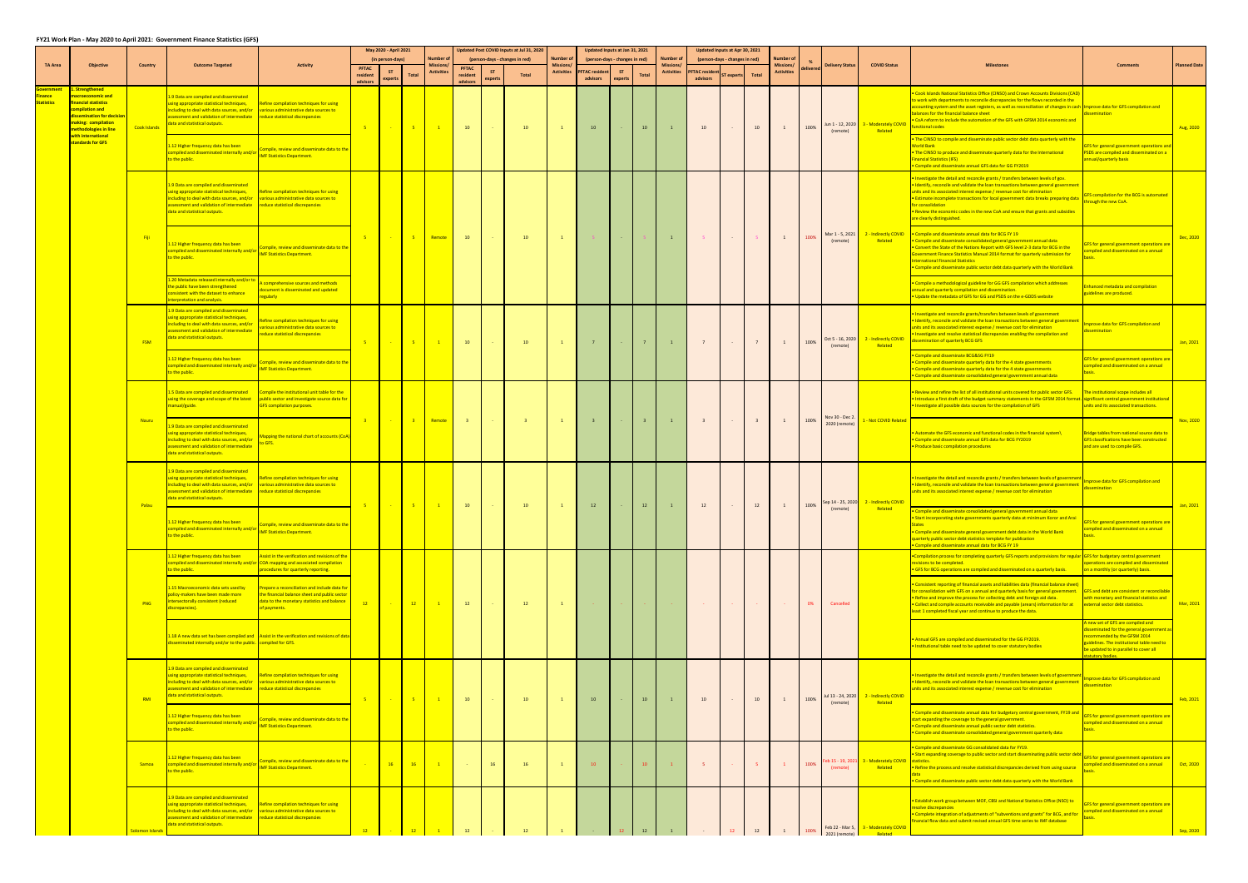## **FY21 Work Plan - May 2020 to April 2021: Government Finance Statistics (GFS)**

|                            |                                                                                                                                                                                                      |                     |                                                                                                                                                                                                                                                                                        |                                                                                                                                                                              |          | May 2020 - April 2021<br>(in person-days) |                 |                   |                                      |         | Updated Post COVID Inputs at Jul 31, 2020<br>(person-days - changes in red) | lumber o                       | Updated Inputs at Jan 31, 2021<br>(person-days - changes in red) |                      |                | Number c                             |                                   | Updated Inputs at Apr 30, 2021<br>(person-days - changes in red) |              |                   |         |                                  |                                             |                                                                                                                                                                                                                                                                                                                                                                                                                                                                                                                                     |                                                                                                                                                                                                                                                        |                                                                                |  |
|----------------------------|------------------------------------------------------------------------------------------------------------------------------------------------------------------------------------------------------|---------------------|----------------------------------------------------------------------------------------------------------------------------------------------------------------------------------------------------------------------------------------------------------------------------------------|------------------------------------------------------------------------------------------------------------------------------------------------------------------------------|----------|-------------------------------------------|-----------------|-------------------|--------------------------------------|---------|-----------------------------------------------------------------------------|--------------------------------|------------------------------------------------------------------|----------------------|----------------|--------------------------------------|-----------------------------------|------------------------------------------------------------------|--------------|-------------------|---------|----------------------------------|---------------------------------------------|-------------------------------------------------------------------------------------------------------------------------------------------------------------------------------------------------------------------------------------------------------------------------------------------------------------------------------------------------------------------------------------------------------------------------------------------------------------------------------------------------------------------------------------|--------------------------------------------------------------------------------------------------------------------------------------------------------------------------------------------------------------------------------------------------------|--------------------------------------------------------------------------------|--|
| <b>TA Area</b>             | <b>Objective</b>                                                                                                                                                                                     | <b>Country</b>      | <b>Outcome Targeted</b>                                                                                                                                                                                                                                                                | <b>Activity</b>                                                                                                                                                              | resident | expert:                                   | <b>Total</b>    | <b>Activitie:</b> | <b>PFTAC</b><br>resident<br>advisors | expert: | Total                                                                       | Missions/<br><b>Activities</b> | <b>PFTAC resident</b><br>advisors                                | <b>ST</b><br>experts | <b>Total</b>   | <b>Missions</b><br><b>Activities</b> | <b>PFTAC</b> resident<br>advisors | <b>Fexpert</b>                                                   | <b>Total</b> | <b>Activities</b> | elivere | <b>Delivery Status</b>           | <b>COVID Status</b>                         |                                                                                                                                                                                                                                                                                                                                                                                                                                                                                                                                     |                                                                                                                                                                                                                                                        | <b>Planned Date</b>                                                            |  |
| nance<br><b>Statistics</b> | . Strengthened<br>nacroeconomic and<br>inancial statistics<br>ompilation and<br>dissemination for decisio<br>making: compilation<br>methodologies in line<br>with international<br>standards for GFS | <b>Cook Islands</b> | 1.9 Data are compiled and disseminated<br>using appropriate statistical techniques,<br>ncluding to deal with data sources, and/or various administrative data sources to<br>sessment and validation of intermediate reduce statistical discrepancies<br>lata and statistical outputs.  | Refine compilation techniques for using                                                                                                                                      | $-5$     | $\sim$ $\sim$                             | $-5$            |                   | 10                                   |         | 10                                                                          | $\mathbf{1}$                   | 10                                                               |                      | 10             |                                      | 10                                |                                                                  | 10           |                   | 100%    | Jun 1 - 12, 2020<br>(remote)     | 3 - Moderately COVID<br>Related             | Cook Islands National Statistics Office (CINSO) and Crown Accounts Divisions (CAD<br>o work with departments to reconcile discrepancies for the flows recorded in the<br>ccounting system and the asset registers, as well as reconciliation of changes in cash Improve data for GFS compilation and<br>alances for the financial balance sheet<br>CoA reform to include the automation of the GFS with GFSM 2014 economic and<br>nctional codes<br>The CINSO to compile and disseminate public sector debt data quarterly with the | ssemination                                                                                                                                                                                                                                            | Aug, 2020                                                                      |  |
|                            |                                                                                                                                                                                                      |                     | .12 Higher frequency data has been<br>ompiled and disseminated internally and/or <b>NATION STATES</b><br>o the public.                                                                                                                                                                 | ompile, review and disseminate data to the                                                                                                                                   |          |                                           |                 |                   |                                      |         |                                                                             |                                |                                                                  |                      |                |                                      |                                   |                                                                  |              |                   |         |                                  |                                             | orld Bank<br>The CINSO to produce and disseminate quarterly data for the International<br>nancial Statistics (IFS)<br>Compile and disseminate annual GFS data for GG FY2019                                                                                                                                                                                                                                                                                                                                                         | <b>FS for general government operations an</b><br><b>SDS are compiled and disseminated on a</b><br>nnual/quarterly basis                                                                                                                               |                                                                                |  |
|                            |                                                                                                                                                                                                      |                     | 1.9 Data are compiled and disseminated<br>sing appropriate statistical techniques,<br>cluding to deal with data sources, and/or various administrative data sources to<br>ssessment and validation of intermediate reduce statistical discrepancies<br>data and statistical outputs.   | Refine compilation techniques for using                                                                                                                                      |          |                                           |                 |                   |                                      |         |                                                                             |                                |                                                                  |                      |                |                                      |                                   |                                                                  |              |                   |         |                                  |                                             | nvestigate the detail and reconcile grants / transfers between levels of gov.<br>Identify, reconcile and validate the loan transactions between general governmen<br>nits and its associated interest expense / revenue cost for elimination<br>Estimate incomplete transactions for local government data breaks preparing data<br>or consolidation<br>Review the economic codes in the new CoA and ensure that grants and subsidies<br>are clearly distinguished.                                                                 | FS compilation for the BCG is automated<br>ough the new CoA.                                                                                                                                                                                           |                                                                                |  |
|                            |                                                                                                                                                                                                      | - Fiji              | 1.12 Higher frequency data has been<br>compiled and disseminated internally and/or <b>National Company of the Statistics Department</b><br>to the public.                                                                                                                              | Compile, review and disseminate data to the                                                                                                                                  | $-5$     | <b>Carlos</b>                             | $-5$            | Remote            | 10                                   |         | 10                                                                          | $\mathbf{1}$                   |                                                                  |                      |                | $\mathbf{1}$                         | $-5$                              |                                                                  |              | 1                 | 100%    | Mar 1 - 5, 2021<br>(remote)      | 2 - Indirectly COVID<br>Related             | . Compile and disseminate annual data for BCG FY 19<br>Compile and disseminate consolidated general government annual data<br>Convert the State of the Nations Report with GFS level 2-3 data for BCG in the<br>overnment Finance Statistics Manual 2014 format for quarterly submission for<br>nternational Financial Statistics<br>Compile and disseminate public sector debt data quarterly with the World Bank                                                                                                                  | FS for general government operations an<br>mpiled and disseminated on a annual                                                                                                                                                                         | Dec, 2020                                                                      |  |
|                            |                                                                                                                                                                                                      |                     | 1.20 Metadata released internally and/or to<br>he public have been strengthened<br>onsistent with the dataset to enhance<br>terpretation and analysis.                                                                                                                                 | omprehensive sources and methods<br>ocument is disseminated and updated<br>egularly                                                                                          |          |                                           |                 |                   |                                      |         |                                                                             |                                |                                                                  |                      |                |                                      |                                   |                                                                  |              |                   |         |                                  |                                             | Compile a methodological guideline for GG GFS compilation which addresses<br>nual and quarterly compilation and dissemination.<br>Update the metadata of GFS for GG and PSDS on the e-GDDS website                                                                                                                                                                                                                                                                                                                                  | hanced metadata and compilation<br>iidelines are produced.                                                                                                                                                                                             |                                                                                |  |
|                            |                                                                                                                                                                                                      | <b>FSM</b>          | 1.9 Data are compiled and disseminated<br>sing appropriate statistical techniques,<br>cluding to deal with data sources, and/or<br>sessment and validation of intermediate<br>ata and statistical outputs.                                                                             | efine compilation techniques for using<br>rious administrative data sources to<br>educe statistical discrepancies                                                            | $-5$     | $\sim$                                    | $-5$            |                   | 10 <sup>°</sup>                      |         | 10 <sup>°</sup>                                                             |                                |                                                                  |                      | 7 <sup>7</sup> |                                      |                                   |                                                                  |              |                   | 100%    | Oct 5 - 16, 2020<br>(remote)     | 2 - Indirectly COVID<br>Related             | Investigate and reconcile grants/transfers between levels of government<br>Identify, reconcile and validate the loan transactions between general government<br>nits and its associated interest expense / revenue cost for elimination<br>nvestigate and resolve statistical discrepancies enabling the compilation and<br>ssemination of quarterly BCG GFS                                                                                                                                                                        | prove data for GFS compilation and<br>emination                                                                                                                                                                                                        | Jan, 2021                                                                      |  |
|                            |                                                                                                                                                                                                      |                     | .12 Higher frequency data has been<br>mpiled and disseminated internally and/or<br>the public.                                                                                                                                                                                         | Compile, review and disseminate data to the<br><b>IMF Statistics Department.</b>                                                                                             |          |                                           |                 |                   |                                      |         |                                                                             |                                |                                                                  |                      |                |                                      |                                   |                                                                  |              |                   |         |                                  |                                             |                                                                                                                                                                                                                                                                                                                                                                                                                                                                                                                                     | Compile and disseminate BCG&SG FY19<br>Compile and disseminate quarterly data for the 4 state governments<br>Compile and disseminate quarterly data for the 4 state governments<br>Compile and disseminate consolidated general government annual data | FS for general government operations ar<br>mpiled and disseminated on a annual |  |
|                            |                                                                                                                                                                                                      |                     | 1.5 Data are compiled and disseminated<br>nanual/guide.                                                                                                                                                                                                                                | Compile the institutional unit table for the<br>using the coverage and scope of the latest public sector and investigate source data for<br><b>GFS compilation purposes.</b> |          |                                           |                 |                   |                                      |         |                                                                             |                                |                                                                  |                      |                |                                      |                                   |                                                                  |              |                   |         |                                  |                                             | Review and refine the list of all institutional units covered for public sector GFS.<br>Introduce a first draft of the budget summary statements in the GFSM 2014 format. significant central government institutional<br>Investigate all possible data sources for the compilation of GFS                                                                                                                                                                                                                                          | he institutional scope includes all<br>inits and its associated transactions.                                                                                                                                                                          | Nov, 2020                                                                      |  |
|                            |                                                                                                                                                                                                      | Nauru               | .9 Data are compiled and disseminated<br>sing appropriate statistical techniques,<br>cluding to deal with data sources, and/or<br>sessment and validation of intermediate<br>lata and statistical outputs.                                                                             | Aapping the national chart of accounts (CoA)<br>o GFS.                                                                                                                       | $-3$     |                                           | $\sim$ $\sim$ 3 | Remote            | $-3-$                                |         | $\overline{\mathbf{3}}$                                                     | $\mathbf{1}$                   | $\overline{\mathbf{3}}$                                          |                      | $-3$           | $\overline{1}$                       | $\overline{\mathbf{3}}$           |                                                                  |              |                   | 100%    | Nov 30 - Dec 2.<br>2020 (remote) | 1 - Not COVID Related                       | Automate the GFS economic and functional codes in the financial system\<br>Compile and disseminate annual GFS data for BCG FY2019<br>Produce basic compilation procedures                                                                                                                                                                                                                                                                                                                                                           | tridge tables from national source data to<br><b>GFS classifications have been constructed</b><br>and are used to compile GFS.                                                                                                                         |                                                                                |  |
|                            |                                                                                                                                                                                                      | Palau               | 1.9 Data are compiled and disseminated<br>sing appropriate statistical techniques,<br>cluding to deal with data sources, and/or various administrative data sources to<br>sessment and validation of intermediate<br>ata and statistical outputs.                                      | Refine compilation techniques for using<br>reduce statistical discrepancies                                                                                                  | $-5$     | <b>Contract</b>                           | $-5$            |                   | 10                                   |         | 10                                                                          |                                | 12                                                               |                      | 12             |                                      | 12                                |                                                                  | 12           |                   | 100%    | Sep 14 - 25, 2020                | 2 - Indirectly COVID                        | Investigate the detail and reconcile grants / transfers between levels of governme<br>Identify, reconcile and validate the loan transactions between general government<br>nits and its associated interest expense / revenue cost for elimination                                                                                                                                                                                                                                                                                  | prove data for GFS compilation and<br>semination                                                                                                                                                                                                       | Jan, 2021                                                                      |  |
|                            |                                                                                                                                                                                                      |                     | 1.12 Higher frequency data has been<br>ompiled and disseminated internally and/or <b>NATION STATES</b><br>o the public.                                                                                                                                                                | ompile, review and disseminate data to the                                                                                                                                   |          |                                           |                 |                   |                                      |         |                                                                             |                                |                                                                  |                      |                |                                      |                                   |                                                                  |              |                   |         | (remote)                         | Related                                     | Compile and disseminate consolidated general government annual data<br>Start incorporating state governments quarterly data at minimum Koror and Ara<br><b>States</b><br>Compile and disseminate general government debt data in the World Bank<br>uarterly public sector debt statistics template for publication<br>Compile and disseminate annual data for BCG FY 19                                                                                                                                                             | FS for general government operations are<br>mpiled and disseminated on a annual                                                                                                                                                                        |                                                                                |  |
|                            |                                                                                                                                                                                                      |                     | .12 Higher frequency data has been<br>o the public.                                                                                                                                                                                                                                    | ssist in the verification and revisions of the<br>ompiled and disseminated internally and/or COA mapping and associated compilation<br>rocedures for quarterly reporting.    |          |                                           |                 |                   |                                      |         |                                                                             |                                |                                                                  |                      |                |                                      |                                   |                                                                  |              |                   |         |                                  |                                             | Compilation process for completing quarterly GFS reports and provisions for regular GFS for budgetary central government<br>visions to be completed.<br>GFS for BCG operations are compiled and disseminated on a quarterly basis.                                                                                                                                                                                                                                                                                                  | perations are compiled and disseminated<br>on a monthly (or quarterly) basis.                                                                                                                                                                          |                                                                                |  |
|                            |                                                                                                                                                                                                      | <b>PNG</b>          | 1.15 Macroeconomic data sets used by<br>olicy-makers have been made more<br>tersectorally consistent (reduced<br>crepancies).                                                                                                                                                          | Prepare a reconciliation and include data for<br>the financial balance sheet and public sector<br>data to the monetary statistics and balance<br>of payments.                | $-12$    |                                           | $-12$           |                   | 12                                   |         | 12                                                                          | $\mathbf{1}$                   |                                                                  |                      |                |                                      |                                   |                                                                  |              |                   | 0%      | Cancelled                        |                                             | Consistent reporting of financial assets and liabilities data (financial balance sheet)<br>or consolidation with GFS on a annual and quarterly basis for general government.   C<br>Refine and improve the process for collecting debt and foreign aid data.<br>Collect and compile accounts receivable and payable (arears) information for at<br>east 1 completed fiscal year and continue to produce the data.                                                                                                                   | <b>GFS and debt are consistent or reconcilabl</b><br>ith monetary and financial statistics and<br>xternal sector debt statistics.                                                                                                                      | Mar, 2021                                                                      |  |
|                            |                                                                                                                                                                                                      |                     | sseminated internally and/or to the public. compiled for GFS.                                                                                                                                                                                                                          | .18 A new data set has been compiled and Assist in the verification and revisions of data                                                                                    |          |                                           |                 |                   |                                      |         |                                                                             |                                |                                                                  |                      |                |                                      |                                   |                                                                  |              |                   |         |                                  |                                             | Annual GFS are compiled and disseminated for the GG FY2019.<br>Institutional table need to be updated to cover statutory bodies                                                                                                                                                                                                                                                                                                                                                                                                     | new set of GFS are compiled and<br>seminated for the general government<br>commended by the GFSM 2014<br>idelines. The institutional table need to<br>e updated to in parallel to cover all<br>utory bodies.                                           |                                                                                |  |
|                            |                                                                                                                                                                                                      | RMI                 | 1.9 Data are compiled and disseminated<br>using appropriate statistical techniques,<br>ncluding to deal with data sources, and/or various administrative data sources to<br>ssessment and validation of intermediate reduce statistical discrepancies<br>data and statistical outputs. | Refine compilation techniques for using                                                                                                                                      | $-5$     | $\sim$                                    | $-5$            |                   | 10                                   |         | 10 <sup>°</sup>                                                             | $\mathbf{1}$                   | 10                                                               |                      | 10             |                                      | 10                                |                                                                  | 10           |                   | 100%    | Jul 13 - 24, 2020<br>(remote)    | 2 - Indirectly COVID<br>Related             | Investigate the detail and reconcile grants / transfers between levels of governmer<br>Identify, reconcile and validate the loan transactions between general government<br>units and its associated interest expense / revenue cost for elimination                                                                                                                                                                                                                                                                                | prove data for GFS compilation and<br>ssemination                                                                                                                                                                                                      | Feb, 2021                                                                      |  |
|                            |                                                                                                                                                                                                      |                     | .12 Higher frequency data has been<br><b>Exampled and disseminated internally and/or Unique Assistance and disseminated internally and/or UNIFISTATISTIC</b><br>to the public.                                                                                                         | Compile, review and disseminate data to the                                                                                                                                  |          |                                           |                 |                   |                                      |         |                                                                             |                                |                                                                  |                      |                |                                      |                                   |                                                                  |              |                   |         |                                  |                                             | Compile and disseminate annual data for budgetary central government, FY19 and<br>start expanding the coverage to the general government.<br>Compile and disseminate annual public sector debt statistics.<br>Compile and disseminate consolidated general government quarterly data                                                                                                                                                                                                                                                | S for general government operations an<br>mpiled and disseminated on a annual                                                                                                                                                                          |                                                                                |  |
|                            |                                                                                                                                                                                                      | Samoa               | .12 Higher frequency data has been<br>compiled and disseminated internally and/or<br>to the public.                                                                                                                                                                                    | ompile, review and disseminate data to the<br><b>IMF Statistics Department.</b>                                                                                              |          | 16                                        | 16              |                   |                                      | 16      | 16                                                                          |                                | 10                                                               |                      | 10             |                                      |                                   |                                                                  |              |                   | 100%    | eb 15 - 19, 202<br>(remote)      | 3 - Moderately COVID statistics.<br>Related | Compile and disseminate GG consolidated data for FY19.<br>Start expanding coverage to public sector and start disseminating public sector debt<br>. Refine the process and resolve statistical discrepancies derived from using source<br>Compile and disseminate public sector debt data quarterly with the World Bank                                                                                                                                                                                                             | <b>FS for general government operations are</b><br>npiled and disseminated on a annual                                                                                                                                                                 | Oct, 2020                                                                      |  |
|                            |                                                                                                                                                                                                      | Solomon Islands     | 1.9 Data are compiled and disseminated<br>sing appropriate statistical techniques,<br>ncluding to deal with data sources, and/or various administrative data sources to<br>sessment and validation of intermediate reduce statistical discrepancies<br>data and statistical outputs.   | Refine compilation techniques for using                                                                                                                                      |          |                                           |                 |                   |                                      |         |                                                                             |                                |                                                                  |                      |                |                                      |                                   |                                                                  |              |                   |         | Feb 22 - Mar 5,                  | 3 - Moderately COVID                        | Establish work group between MOF, CBSI and National Statistics Office (NSO) to<br>esolve discrepancies<br>Complete integration of adjustments of "subventions and grants" for BCG, and for<br>nancial flow data and submit revised annual GFS time series to IMF database                                                                                                                                                                                                                                                           | S for general government operations are<br>mpiled and disseminated on a annual                                                                                                                                                                         | Sep, 2020                                                                      |  |